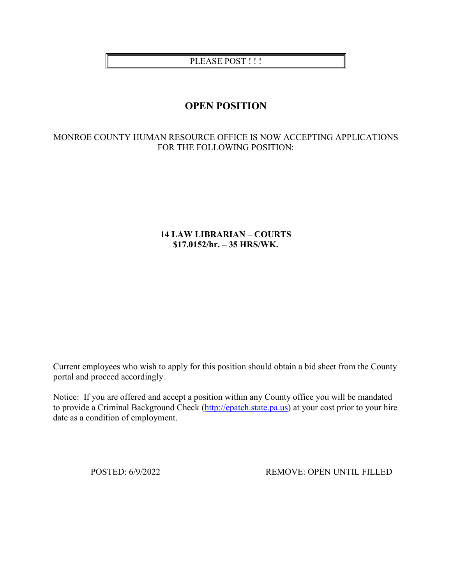## PLEASE POST!!!

# **OPEN POSITION**

### MONROE COUNTY HUMAN RESOURCE OFFICE IS NOW ACCEPTING APPLICATIONS FOR THE FOLLOWING POSITION:

## **14 LAW LIBRARIAN – COURTS \$17.0152/hr. – 35 HRS/WK.**

Current employees who wish to apply for this position should obtain a bid sheet from the County portal and proceed accordingly.

Notice: If you are offered and accept a position within any County office you will be mandated to provide a Criminal Background Check [\(http://epatch.state.pa.us\)](http://epatch.state.pa.us/) at your cost prior to your hire date as a condition of employment.

POSTED: 6/9/2022 REMOVE: OPEN UNTIL FILLED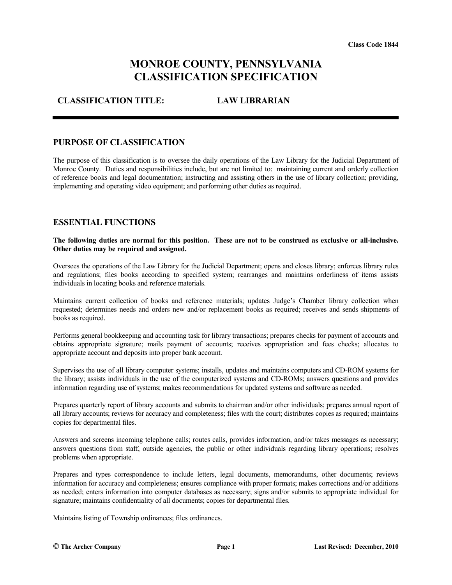# **MONROE COUNTY, PENNSYLVANIA CLASSIFICATION SPECIFICATION**

## **CLASSIFICATION TITLE: LAW LIBRARIAN**

#### **PURPOSE OF CLASSIFICATION**

The purpose of this classification is to oversee the daily operations of the Law Library for the Judicial Department of Monroe County. Duties and responsibilities include, but are not limited to: maintaining current and orderly collection of reference books and legal documentation; instructing and assisting others in the use of library collection; providing, implementing and operating video equipment; and performing other duties as required.

#### **ESSENTIAL FUNCTIONS**

#### **The following duties are normal for this position. These are not to be construed as exclusive or all-inclusive. Other duties may be required and assigned.**

Oversees the operations of the Law Library for the Judicial Department; opens and closes library; enforces library rules and regulations; files books according to specified system; rearranges and maintains orderliness of items assists individuals in locating books and reference materials.

Maintains current collection of books and reference materials; updates Judge's Chamber library collection when requested; determines needs and orders new and/or replacement books as required; receives and sends shipments of books as required.

Performs general bookkeeping and accounting task for library transactions; prepares checks for payment of accounts and obtains appropriate signature; mails payment of accounts; receives appropriation and fees checks; allocates to appropriate account and deposits into proper bank account.

Supervises the use of all library computer systems; installs, updates and maintains computers and CD-ROM systems for the library; assists individuals in the use of the computerized systems and CD-ROMs; answers questions and provides information regarding use of systems; makes recommendations for updated systems and software as needed.

Prepares quarterly report of library accounts and submits to chairman and/or other individuals; prepares annual report of all library accounts; reviews for accuracy and completeness; files with the court; distributes copies as required; maintains copies for departmental files.

Answers and screens incoming telephone calls; routes calls, provides information, and/or takes messages as necessary; answers questions from staff, outside agencies, the public or other individuals regarding library operations; resolves problems when appropriate.

Prepares and types correspondence to include letters, legal documents, memorandums, other documents; reviews information for accuracy and completeness; ensures compliance with proper formats; makes corrections and/or additions as needed; enters information into computer databases as necessary; signs and/or submits to appropriate individual for signature; maintains confidentiality of all documents; copies for departmental files.

Maintains listing of Township ordinances; files ordinances.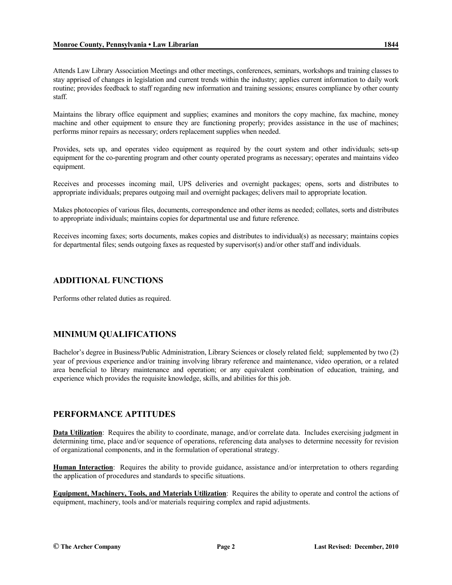Attends Law Library Association Meetings and other meetings, conferences, seminars, workshops and training classes to stay apprised of changes in legislation and current trends within the industry; applies current information to daily work routine; provides feedback to staff regarding new information and training sessions; ensures compliance by other county staff.

Maintains the library office equipment and supplies; examines and monitors the copy machine, fax machine, money machine and other equipment to ensure they are functioning properly; provides assistance in the use of machines; performs minor repairs as necessary; orders replacement supplies when needed.

Provides, sets up, and operates video equipment as required by the court system and other individuals; sets-up equipment for the co-parenting program and other county operated programs as necessary; operates and maintains video equipment.

Receives and processes incoming mail, UPS deliveries and overnight packages; opens, sorts and distributes to appropriate individuals; prepares outgoing mail and overnight packages; delivers mail to appropriate location.

Makes photocopies of various files, documents, correspondence and other items as needed; collates, sorts and distributes to appropriate individuals; maintains copies for departmental use and future reference.

Receives incoming faxes; sorts documents, makes copies and distributes to individual(s) as necessary; maintains copies for departmental files; sends outgoing faxes as requested by supervisor(s) and/or other staff and individuals.

#### **ADDITIONAL FUNCTIONS**

Performs other related duties as required.

#### **MINIMUM QUALIFICATIONS**

Bachelor's degree in Business/Public Administration, Library Sciences or closely related field; supplemented by two (2) year of previous experience and/or training involving library reference and maintenance, video operation, or a related area beneficial to library maintenance and operation; or any equivalent combination of education, training, and experience which provides the requisite knowledge, skills, and abilities for this job.

#### **PERFORMANCE APTITUDES**

**Data Utilization**: Requires the ability to coordinate, manage, and/or correlate data. Includes exercising judgment in determining time, place and/or sequence of operations, referencing data analyses to determine necessity for revision of organizational components, and in the formulation of operational strategy.

**Human Interaction**: Requires the ability to provide guidance, assistance and/or interpretation to others regarding the application of procedures and standards to specific situations.

**Equipment, Machinery, Tools, and Materials Utilization**: Requires the ability to operate and control the actions of equipment, machinery, tools and/or materials requiring complex and rapid adjustments.